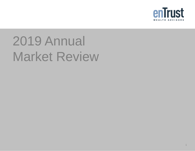

# 2019 Annual Market Review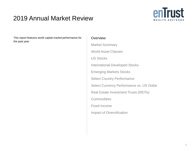### 2019 Annual Market Review



This report features world capital market performance for the past year.

### Overview:

Market Summary World Asset Classes US Stocks International Developed Stocks Emerging Markets Stocks Select Country Performance Select Currency Performance vs. US Dollar Real Estate Investment Trusts (REITs) **Commodities** Fixed Income Impact of Diversification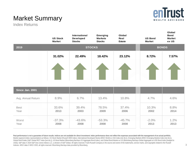

## Market Summary

Index Returns

|                     | <b>US Stock</b><br><b>Market</b> | International<br>Developed<br><b>Stocks</b> | <b>Emerging</b><br><b>Markets</b><br><b>Stocks</b> | Global<br>Real<br><b>Estate</b> | <b>US Bond</b><br><b>Market</b> | Global<br><b>Bond</b><br><b>Market</b><br>ex US |
|---------------------|----------------------------------|---------------------------------------------|----------------------------------------------------|---------------------------------|---------------------------------|-------------------------------------------------|
| 2019                |                                  |                                             | <b>STOCKS</b>                                      |                                 |                                 | <b>BONDS</b>                                    |
|                     | 31.02%                           | 22.49%                                      | 18.42%                                             | 23.12%                          | 8.72%                           | 7.57%                                           |
|                     |                                  |                                             |                                                    |                                 |                                 |                                                 |
| Since Jan. 2001     |                                  |                                             |                                                    |                                 |                                 |                                                 |
| Avg. Annual Return  | 8.9%                             | 6.7%                                        | 13.4%                                              | 10.8%                           | 4.7%                            | 4.6%                                            |
| <b>Best</b><br>Year | 33.6%<br>2013                    | 39.4%<br>2003                               | 78.5%<br>2009                                      | 37.4%<br>2006                   | 10.3%<br>2002                   | 8.8%<br>2014                                    |
| Worst<br>Year       | $-37.3%$<br>2008                 | $-43.6%$<br>2008                            | $-53.3%$<br>2008                                   | $-45.7%$<br>2008                | $-2.0%$<br>2013                 | 1.2%<br>2013                                    |

Past performance is not a guarantee of future results. Indices are not available for direct investment. Index performance does not reflect the expenses associated with the management of an actual portfolio. Market segment (index representation) as follows: US Stock Market (Russell 3000 Index), International Developed Stocks (MSCI World ex USA Index [net div.]), Emerging Markets (MSCI Emerging Markets Index [net div.]), Global Real Estate (S&P Global REIT Index [net div.]), US Bond Market (Bloomberg Barclays US Aggregate Bond Index), and Global Bond Market ex US (Bloomberg Barclays Global Aggregate ex-USD Bond Index [hedged to USD]). S&P data © 2020 S&P Dow Jones Indices LLC, a division of S&P Global. All rights reserved. Frank Russell Company is the source and owner of the trademarks, service marks, and copyrights related to the Russell Indexes. MSCI data © MSCI 2020, all rights reserved. Bloomberg Barclays data provided by Bloomberg.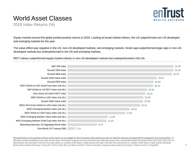

## World Asset Classes

2019 Index Returns (%)

Equity markets around the globe posted positive returns in 2019. Looking at broad market indices, the US outperformed non-US developed and emerging markets for the year.

The value effect was negative in the US, non-US developed markets, and emerging markets. Small caps outperformed large caps in non-US developed markets but underperformed in the US and emerging markets.

REIT indices outperformed equity market indices in non-US developed markets but underperformed in the US.



Past performance is not a quarantee of future results. Indices are not available for direct investment. Index performance does not reflect the expenses associated with the management of an actual portfolio. The S&P data is provided by Standard & Poor's Index Services Group. Frank Russell Company is the source and owner of the trademarks, service marks, and copyrights related to the Russell Indexes. MSCI data © MSCI 2020, all rights reserved. Dow Jones data © 2020 S&P Dow Jones Indices LLC, a division of S&P Global. All rights reserved. S&P data © 2020 S&P Dow Jones Indices LLC, a division of S&P Global. All rights reserved. Bloomberg Barclays data provided by Bloomberg. Treasury bills © Stocks, Bonds, Bills, and Inflation Yearbook™, Ibbotson Associates, Chicago (annually updated work by Roger G. Ibbotson and Rex A. Sinquefield).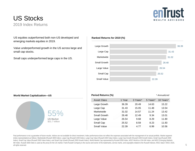

### US Stocks 2019 Index Returns

US equities outperformed both non-US developed and emerging markets equities in 2019.

Value underperformed growth in the US across large and small cap stocks.

Small caps underperformed large caps in the US.

### **Ranked Returns for 2019 (%)**



### **World Market Capitalization—US**



| Period Returns (%) |        |          |          | * Annualized |
|--------------------|--------|----------|----------|--------------|
| Asset Class        | 1 Year | 3 Years* | 5 Years* | 10 Years*    |
| Large Growth       | 36.39  | 20.49    | 14.63    | 15.22        |
| Large Cap          | 31.43  | 15.05    | 11.48    | 13.54        |
| Marketwide         | 31.02  | 14.57    | 11.24    | 13.42        |
| Small Growth       | 28.48  | 12.49    | 9.34     | 13.01        |
| Large Value        | 26.54  | 9.68     | 8.29     | 11.80        |
| Small Cap          | 25.52  | 8.59     | 8.23     | 11.83        |
| Small Value        | 22.39  | 4.77     | 6.99     | 10.56        |

Past performance is not a guarantee of future results. Indices are not available for direct investment. Index performance does not reflect the expenses associated with the management of an actual portfolio. Market segment (index representation) as follows: Marketwide (Russell 3000 Index), Large Cap (Russell 1000 Index), Large Cap Value (Russell 1000 Value Index), Large Cap Growth (Russell 1000 Growth Index), Small Cap (Russell 2000 Index), Small Cap Value (Russell 2000 Value Index), and Small Cap Growth (Russell 2000 Growth Index). World Market Cap represented by Russell 3000 Index, MSCI World ex USA IMI Index, and MSCI Emerging Markets IMI Index. Russell 3000 Index is used as the proxy for the US market. Frank Russell Company is the source and owner of the trademarks, service marks, and copyrights related to the Russell Indexes. MSCI data © MSCI 2020, all rights reserved.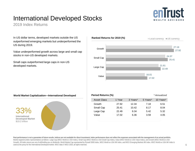## International Developed Stocks



2019 Index Returns

In US dollar terms, developed markets outside the US outperformed emerging markets but underperformed the US during 2019.

Value underperformed growth across large and small cap stocks in non-US developed markets.

Small caps outperformed large caps in non-US developed markets.



### **World Market Capitalization—International Developed**



| Period Returns (%) |        |          |          | * Annualized |
|--------------------|--------|----------|----------|--------------|
| Asset Class        | 1 Year | 3 Years* | 5 Years* | 10 Years*    |
| Growth             | 27.92  | 12.34    | 7.18     | 6.51         |
| Small Cap          | 25.41  | 10.42    | 8.17     | 8.04         |
| Large Cap          | 22.49  | 9.34     | 5.42     | 5.32         |
| Value              | 17.02  | 6.36     | 3.59     | 4.05         |

Past performance is not a quarantee of future results. Indices are not available for direct investment. Index performance does not reflect the expenses associated with the management of an actual portfolio. Market segment (index representation) as follows: Large Cap (MSCI World ex USA Index), Small Cap (MSCI World ex USA Small Cap Index), Value (MSCI World ex USA Value Index), and Growth (MSCI World ex USA Growth). All index returns are net of withholding tax on dividends. World Market Cap represented by Russell 3000 Index, MSCI World ex USA IMI Index, and MSCI Emerging Markets IMI Index. MSCI World ex USA IMI Index is used as the proxy for the International Developed market. MSCI data © MSCI 2020, all rights reserved.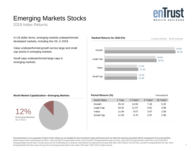

## Emerging Markets Stocks

2019 Index Returns

In US dollar terms, emerging markets underperformed developed markets, including the US, in 2019.

Value underperformed growth across large and small cap stocks in emerging markets.

Small caps underperformed large caps in emerging markets.



### **World Market Capitalization—Emerging Markets**



| Period Returns (%) |        |          |          | * Annualized |
|--------------------|--------|----------|----------|--------------|
| <b>Asset Class</b> | 1 Year | 3 Years* | 5 Years* | 10 Years*    |
| Growth             | 25.10  | 14.50    | 7.45     | 5.20         |
| Large Cap          | 18.42  | 11.57    | 5.61     | 3.68         |
| Value              | 11.94  | 8.57     | 3.67     | 2.08         |
| Small Cap          | 11.50  | 6.70     | 2.97     | 2.95         |
|                    |        |          |          |              |

Past performance is not a quarantee of future results. Indices are not available for direct investment. Index performance does not reflect the expenses associated with the management of an actual portfolio. Market segment (index representation) as follows: Large Cap (MSCI Emerging Markets Index), Small Cap (MSCI Emerging Markets Small Cap Index), Value (MSCI Emerging Markets Value Index), and Growth (MSCI Emerging Markets Growth Index). All index returns are net of withholding tax on dividends. World Market Cap represented by Russell 3000 Index, MSCI World ex USA IMI Index, and MSCI Emerging Markets IMI Index. MSCI Emerging Markets IMI Index used as the proxy for the emerging market portion of the market. MSCI data © MSCI 2020, all rights reserved.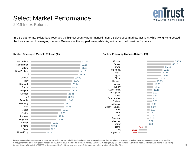## Select Market Performance



2019 Index Returns

In US dollar terms, Switzerland recorded the highest country performance in non-US developed markets last year, while Hong Kong posted the lowest return. In emerging markets, Greece was the top performer, while Argentina had the lowest performance.





Past performance is not a quarantee of future results. Indices are not available for direct investment. Index performance does not reflect the expenses associated with the management of an actual portfolio. Country performance based on respective indices in the MSCI World ex US IMI Index (for developed markets), MSCI USA IMI Index (for US), and MSCI Emerging Markets IMI Index. All returns in USD and net of withholding tax on dividends. MSCI data © MSCI 2020, all rights reserved. UAE and Qatar have been reclassified as emerging markets by MSCI, effective May 2014.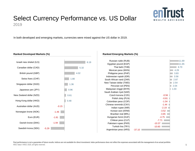

### Select Currency Performance vs. US Dollar 2019

In both developed and emerging markets, currencies were mixed against the US dollar in 2019.

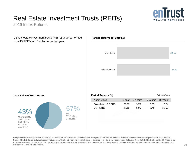## Real Estate Investment Trusts (REITs)



2019 Index Returns

US real estate investment trusts (REITs) underperformed non-US REITs in US dollar terms last year.



### **Total Value of REIT Stocks Period Returns (%)**



Past performance is not a quarantee of future results. Indices are not available for direct investment. Index performance does not reflect the expenses associated with the management of an actual portfolio. Number of REIT stocks and total value based on the two indices. All index returns are net of withholding tax on dividends. Total value of REIT stocks represented by Dow Jones US Select REIT Index and the S&P Global ex US REIT Index. Dow Jones US Select REIT Index used as proxy for the US market, and S&P Global ex US REIT Index used as proxy for the World ex US market. Dow Jones and S&P data © 2020 S&P Dow Jones Indices LLC, a division of S&P Global. All rights reserved.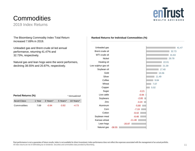## **Commodities**

2019 Index Returns

**enTrust WEALTH ADVISORS** 

The Bloomberg Commodity Index Total Return increased 7.69% in 2019.

Unleaded gas and Brent crude oil led annual performance, returning 41.47% and 32.73%, respectively.

Natural gas and lean hogs were the worst performers, declining 38.55% and 20.87%, respectively.

| Period Returns (%)<br>* Annualized |        |          |          |           |
|------------------------------------|--------|----------|----------|-----------|
| Asset Class                        | 1 Year | 3 Years* | 5 Years* | 10 Years* |
| Commodities                        | 7.69   | -0.94    | $-3.92$  | $-4.73$   |

### **Ranked Returns for Individual Commodities (%)**

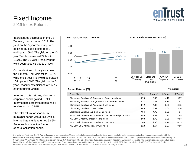

### Fixed Income 2019 Index Returns

Interest rates decreased in the US Treasury market during 2019. The yield on the 5-year Treasury note declined 82 basis points (bps), ending at 1.69%. The yield on the 10 year T-note decreased 77 bps to 1.92%. The 30-year Treasury bond yield decreased 63 bps to 2.39%.

On the short end of the yield curve, the 1-month T-bill yield fell to 1.48%, while the 1-year T-bill yield decreased 104 bps to 1.59%. The yield on the 2 year Treasury note finished at 1.58% after declining 90 bps.

In terms of total returns, short-term corporate bonds gained 6.99%. Intermediate corporate bonds had a total return of 10.14%.

The total return for short-term municipal bonds was 3.66%, while intermediate munis returned 6.86%. Revenue bonds outperformed general obligation bonds.



### **Period Returns (%)**

| Asset Class                                                | 1 Year | 3 Years* | 5 Years* | 10 Years* |
|------------------------------------------------------------|--------|----------|----------|-----------|
| Bloomberg Barclays US Government Bond Index Long           | 14.75  | 6.95     | 4.16     | 6.97      |
| Bloomberg Barclays US High Yield Corporate Bond Index      | 14.32  | 6.37     | 6.13     | 7.57      |
| Bloomberg Barclays US Aggregate Bond Index                 | 8.72   | 4.03     | 3.05     | 3.75      |
| Bloomberg Barclays US TIPS Index                           | 8.43   | 3.32     | 2.62     | 3.36      |
| Bloomberg Barclays Municipal Bond Index                    | 7.54   | 4.72     | 3.53     | 4.34      |
| FTSE World Government Bond Index 1-5 Years (hedged to USD) | 3.86   | 2.37     | 1.92     | 1.85      |
| ICE BofA 1-Year US Treasury Note Index                     | 2.93   | 1.78     | 1.25     | 0.83      |
| FTSE World Government Bond Index 1-5 Years                 | 2.43   | 2.40     | 0.74     | 0.19      |
| ICE BofA US 3-Month Treasury Bill Index                    | 2.28   | 1.67     | 1.07     | 0.58      |

One basis point (bps) equals 0.01%. Past performance is not a quarantee of future results. Indices are not available for direct investment. Index performance does not reflect the expenses associated with the **management of an actual portfolio.** Yield curve data from Federal Reserve. State and local bonds are from the S&P National AMT-Free Municipal Bond Index. AAA-AA Corporates represent the Bank of America Merrill Lynch US Corporates, AA-AAA rated. A-BBB Corporates represent the ICE BofA Corporates, BBB-A rated. Bloomberg Barclays data provided by Bloomberg. US long-term bonds, bills, inflation, and fixed income factor data © Stocks, Bonds, Bills, and Inflation (SBBI) Yearbook™, Ibbotson Associates, Chicago (annually updated work by Roger G. Ibbotson and Rex A. Sinquefield). FTSE fixed income indices © 2020 FTSE Fixed Income LLC, all rights reserved. ICE BofA index data © 2020 ICE Data Indices, LLC. S&P data © 2020 S&P Dow Jones Indices LLC, a division of S&P Global. All rights reserved.

\*Annualized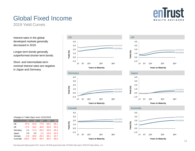

## Global Fixed Income

2019 Yield Curves

Interest rates in the global developed markets generally decreased in 2019.

Longer-term bonds generally outperformed shorter-term bonds.

Short- and intermediate-term nominal interest rates are negative in Japan and Germany.

|  | Changes in Yields (bps) since 12/31/2018 |  |
|--|------------------------------------------|--|
|--|------------------------------------------|--|

|           | 1Y       | 5Y      | 10Y     | <b>20Y</b> | 30Y     |
|-----------|----------|---------|---------|------------|---------|
| US        | $-97.6$  | $-81.8$ | $-77.9$ | $-63.4$    | $-66.1$ |
| UK        | $-17.6$  | $-34.0$ | $-46.9$ | $-50.8$    | $-50.3$ |
| Germany   | 2.1      | $-17.3$ | $-43.3$ | $-54.5$    | $-55.4$ |
| Japan     | 2.6      | 2.0     | $-2.3$  | $-23.9$    | $-32.4$ |
| Canada    | $-6.9$   | $-20.6$ | $-25.4$ | $-40.1$    | $-43.7$ |
| Australia | $-100.2$ | $-94.6$ | $-94.3$ | $-85.4$    | $-80.3$ |









**Years to Maturity**



**Years to Maturity**